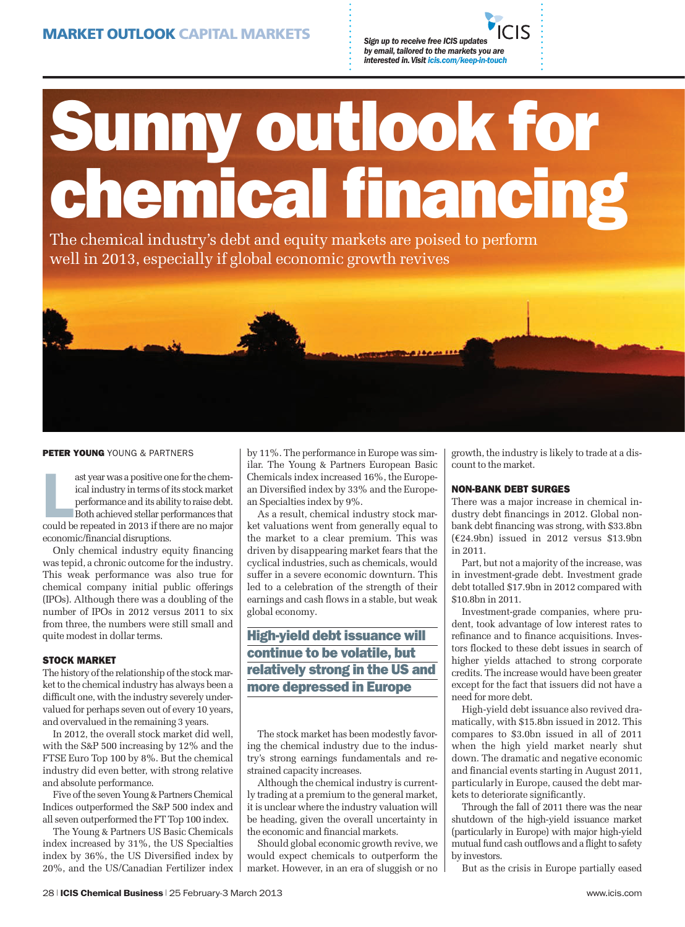*by email, tailored to the markets you are interested in. Visit icis.com/keep-in-touch*

# **Sunny outlook for chemical financing**

The chemical industry's debt and equity markets are poised to perform well in 2013, especially if global economic growth revives



### **PETER YOUNG** YOUNG & PARTNERS

ast year was a positive one for the chemical industry in terms of its stock market<br>performance and its ability to raise debt.<br>Both achieved stellar performances that<br>could be repeated in 2013 if there are no major ast year was a positive one for the chemical industry in terms of its stock market performance and its ability to raise debt. Both achieved stellar performances that economic/financial disruptions.

Only chemical industry equity financing was tepid, a chronic outcome for the industry. This weak performance was also true for chemical company initial public offerings (IPOs). Although there was a doubling of the number of IPOs in 2012 versus 2011 to six from three, the numbers were still small and quite modest in dollar terms.

## **STOCK MARKET**

The history of the relationship of the stock market to the chemical industry has always been a difficult one, with the industry severely undervalued for perhaps seven out of every 10 years, and overvalued in the remaining 3 years.

In 2012, the overall stock market did well, with the S&P 500 increasing by 12% and the FTSE Euro Top 100 by 8%. But the chemical industry did even better, with strong relative and absolute performance.

Five of the seven Young & Partners Chemical Indices outperformed the S&P 500 index and all seven outperformed the FT Top 100 index.

The Young & Partners US Basic Chemicals index increased by 31%, the US Specialties index by 36%, the US Diversified index by 20%, and the US/Canadian Fertilizer index by 11%. The performance in Europe was similar. The Young & Partners European Basic Chemicals index increased 16%, the European Diversified index by 33% and the European Specialties index by 9%.

As a result, chemical industry stock market valuations went from generally equal to the market to a clear premium. This was driven by disappearing market fears that the cyclical industries, such as chemicals, would suffer in a severe economic downturn. This led to a celebration of the strength of their earnings and cash flows in a stable, but weak global economy.

# **High-yield debt issuance will continue to be volatile, but relatively strong in the US and more depressed in Europe**

The stock market has been modestly favoring the chemical industry due to the industry's strong earnings fundamentals and restrained capacity increases.

Although the chemical industry is currently trading at a premium to the general market, it is unclear where the industry valuation will be heading, given the overall uncertainty in the economic and financial markets.

Should global economic growth revive, we would expect chemicals to outperform the market. However, in an era of sluggish or no growth, the industry is likely to trade at a discount to the market.

# **NON-BANK DEBT SURGES**

There was a major increase in chemical industry debt financings in 2012. Global nonbank debt financing was strong, with \$33.8bn (€24.9bn) issued in 2012 versus \$13.9bn in 2011.

Part, but not a majority of the increase, was in investment-grade debt. Investment grade debt totalled \$17.9bn in 2012 compared with \$10.8bn in 2011.

Investment-grade companies, where prudent, took advantage of low interest rates to refinance and to finance acquisitions. Investors flocked to these debt issues in search of higher yields attached to strong corporate credits. The increase would have been greater except for the fact that issuers did not have a need for more debt.

High-yield debt issuance also revived dramatically, with \$15.8bn issued in 2012. This compares to \$3.0bn issued in all of 2011 when the high yield market nearly shut down. The dramatic and negative economic and financial events starting in August 2011, particularly in Europe, caused the debt markets to deteriorate significantly.

Through the fall of 2011 there was the near shutdown of the high-yield issuance market (particularly in Europe) with major high-yield mutual fund cash outflows and a flight to safety by investors.

But as the crisis in Europe partially eased